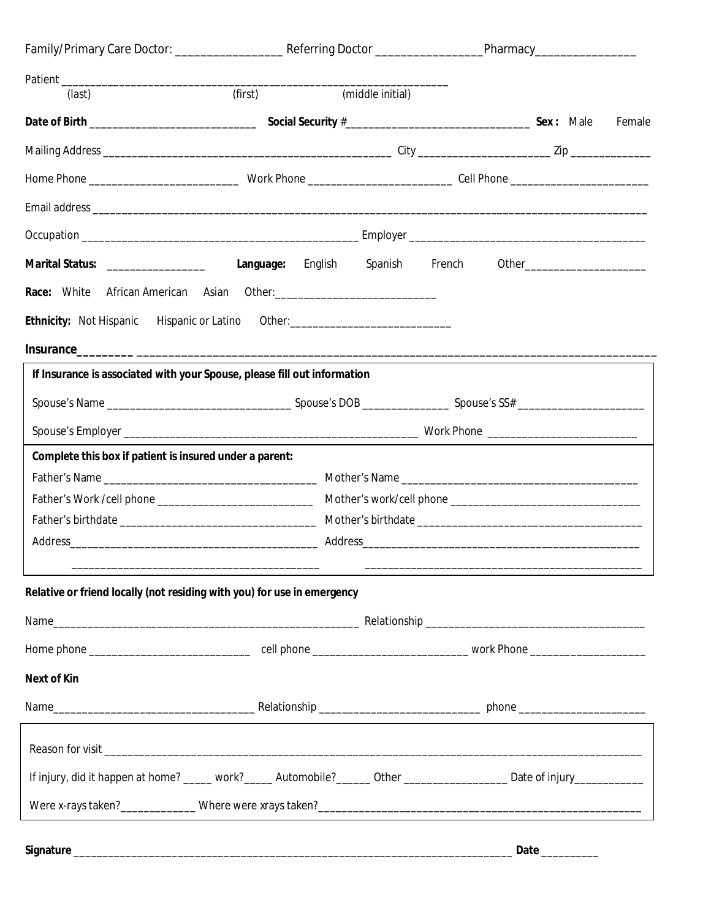| (last)                                                                                                                 | (first) |                                  | (middle initial) |  |  |  |  |
|------------------------------------------------------------------------------------------------------------------------|---------|----------------------------------|------------------|--|--|--|--|
|                                                                                                                        |         |                                  |                  |  |  |  |  |
|                                                                                                                        |         |                                  |                  |  |  |  |  |
|                                                                                                                        |         |                                  |                  |  |  |  |  |
|                                                                                                                        |         |                                  |                  |  |  |  |  |
|                                                                                                                        |         |                                  |                  |  |  |  |  |
| Marital Status: __________________                                                                                     |         | Language: English Spanish French |                  |  |  |  |  |
|                                                                                                                        |         |                                  |                  |  |  |  |  |
| <b>Ethnicity:</b> Not Hispanic Hispanic or Latino Other: _____________________________                                 |         |                                  |                  |  |  |  |  |
|                                                                                                                        |         |                                  |                  |  |  |  |  |
| If Insurance is associated with your Spouse, please fill out information                                               |         |                                  |                  |  |  |  |  |
|                                                                                                                        |         |                                  |                  |  |  |  |  |
|                                                                                                                        |         |                                  |                  |  |  |  |  |
| Complete this box if patient is insured under a parent:                                                                |         |                                  |                  |  |  |  |  |
|                                                                                                                        |         |                                  |                  |  |  |  |  |
|                                                                                                                        |         |                                  |                  |  |  |  |  |
|                                                                                                                        |         |                                  |                  |  |  |  |  |
|                                                                                                                        |         |                                  |                  |  |  |  |  |
| Relative or friend locally (not residing with you) for use in emergency                                                |         |                                  |                  |  |  |  |  |
|                                                                                                                        |         |                                  |                  |  |  |  |  |
|                                                                                                                        |         |                                  |                  |  |  |  |  |
| <b>Next of Kin</b>                                                                                                     |         |                                  |                  |  |  |  |  |
|                                                                                                                        |         |                                  |                  |  |  |  |  |
|                                                                                                                        |         |                                  |                  |  |  |  |  |
|                                                                                                                        |         |                                  |                  |  |  |  |  |
| If injury, did it happen at home? _____ work?_____ Automobile?_____ Other _________________ Date of injury____________ |         |                                  |                  |  |  |  |  |
|                                                                                                                        |         |                                  |                  |  |  |  |  |
|                                                                                                                        |         |                                  |                  |  |  |  |  |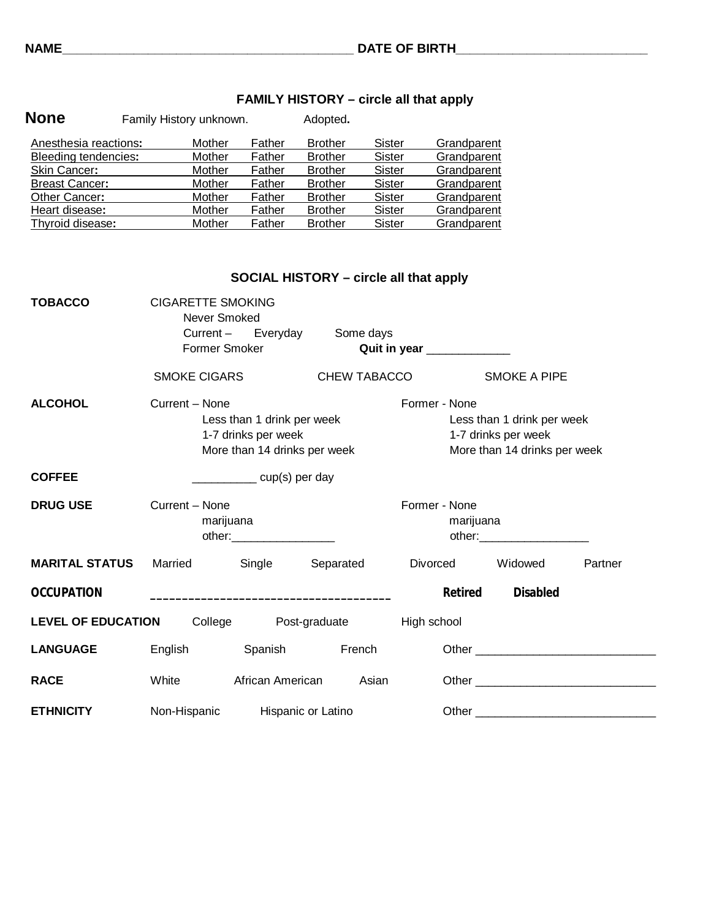| <b>None</b>           | Family History unknown. |        | Adopted.       |        |             |
|-----------------------|-------------------------|--------|----------------|--------|-------------|
| Anesthesia reactions: | Mother                  | Father | <b>Brother</b> | Sister | Grandparent |
| Bleeding tendencies:  | Mother                  | Father | <b>Brother</b> | Sister | Grandparent |
| Skin Cancer:          | Mother                  | Father | <b>Brother</b> | Sister | Grandparent |
| <b>Breast Cancer:</b> | Mother                  | Father | <b>Brother</b> | Sister | Grandparent |
| Other Cancer:         | Mother                  | Father | <b>Brother</b> | Sister | Grandparent |
| Heart disease:        | Mother                  | Father | <b>Brother</b> | Sister | Grandparent |
| Thyroid disease:      | Mother                  | Father | <b>Brother</b> | Sister | Grandparent |

|                           | <b>SOCIAL HISTORY – circle all that apply</b>                 |                                                                                                                                                                                                                                                                                                                                                                                                                      |                              |                            |                                                                                                                                                                                                                               |         |
|---------------------------|---------------------------------------------------------------|----------------------------------------------------------------------------------------------------------------------------------------------------------------------------------------------------------------------------------------------------------------------------------------------------------------------------------------------------------------------------------------------------------------------|------------------------------|----------------------------|-------------------------------------------------------------------------------------------------------------------------------------------------------------------------------------------------------------------------------|---------|
| <b>TOBACCO</b>            | <b>CIGARETTE SMOKING</b><br>Never Smoked<br>Former Smoker     |                                                                                                                                                                                                                                                                                                                                                                                                                      | Current - Everyday Some days | Quit in year ____________  |                                                                                                                                                                                                                               |         |
|                           | <b>SMOKE CIGARS</b>                                           |                                                                                                                                                                                                                                                                                                                                                                                                                      | CHEW TABACCO                 |                            | <b>SMOKE A PIPE</b>                                                                                                                                                                                                           |         |
| <b>ALCOHOL</b>            | Current - None                                                | Less than 1 drink per week<br>1-7 drinks per week<br>More than 14 drinks per week                                                                                                                                                                                                                                                                                                                                    |                              | Former - None              | Less than 1 drink per week<br>1-7 drinks per week<br>More than 14 drinks per week                                                                                                                                             |         |
| <b>COFFEE</b>             |                                                               | $\frac{1}{\sqrt{1-\frac{1}{2}}\sqrt{1-\frac{1}{2}}\sqrt{1-\frac{1}{2}}\sqrt{1-\frac{1}{2}}\sqrt{1-\frac{1}{2}}\sqrt{1-\frac{1}{2}}\sqrt{1-\frac{1}{2}}\sqrt{1-\frac{1}{2}}\sqrt{1-\frac{1}{2}}\sqrt{1-\frac{1}{2}}\sqrt{1-\frac{1}{2}}\sqrt{1-\frac{1}{2}}\sqrt{1-\frac{1}{2}}\sqrt{1-\frac{1}{2}}\sqrt{1-\frac{1}{2}}\sqrt{1-\frac{1}{2}}\sqrt{1-\frac{1}{2}}\sqrt{1-\frac{1}{2}}\sqrt{1-\frac{1}{2}}\sqrt{1-\frac$ |                              |                            |                                                                                                                                                                                                                               |         |
| <b>DRUG USE</b>           | Current - None<br>marijuana<br>other: _______________________ |                                                                                                                                                                                                                                                                                                                                                                                                                      |                              | Former - None<br>marijuana | other:__________________________                                                                                                                                                                                              |         |
| <b>MARITAL STATUS</b>     | Married                                                       | Single                                                                                                                                                                                                                                                                                                                                                                                                               | Separated                    | Divorced                   | Widowed                                                                                                                                                                                                                       | Partner |
| <b>OCCUPATION</b>         |                                                               |                                                                                                                                                                                                                                                                                                                                                                                                                      |                              | <b>Retired</b>             | <b>Disabled</b>                                                                                                                                                                                                               |         |
| <b>LEVEL OF EDUCATION</b> |                                                               |                                                                                                                                                                                                                                                                                                                                                                                                                      | College Post-graduate        | High school                |                                                                                                                                                                                                                               |         |
| <b>LANGUAGE</b>           | English                                                       | Spanish                                                                                                                                                                                                                                                                                                                                                                                                              | French                       |                            | Other and the contract of the contract of the contract of the contract of the contract of the contract of the contract of the contract of the contract of the contract of the contract of the contract of the contract of the |         |
| <b>RACE</b>               | White                                                         | African American                                                                                                                                                                                                                                                                                                                                                                                                     | Asian                        |                            |                                                                                                                                                                                                                               |         |
| <b>ETHNICITY</b>          | Non-Hispanic                                                  | Hispanic or Latino                                                                                                                                                                                                                                                                                                                                                                                                   |                              |                            |                                                                                                                                                                                                                               |         |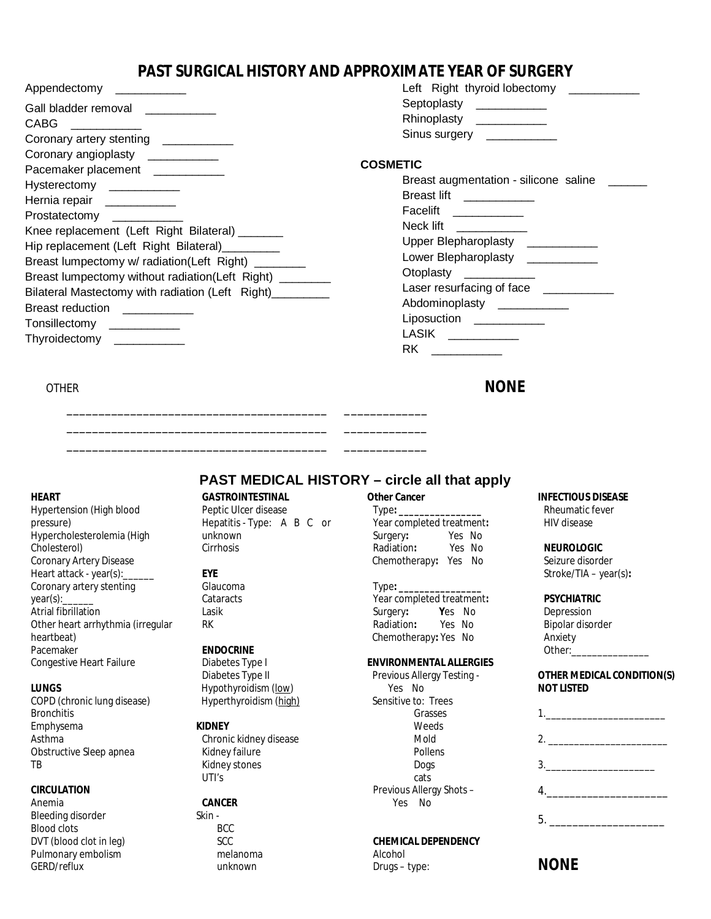# **PAST SURGICAL HISTORY AND APPROXIMATE YEAR OF SURGERY**

|               | Left Right thyroid lobectomy |  |
|---------------|------------------------------|--|
| Septoplasty   |                              |  |
| Rhinoplasty   |                              |  |
| Sinus surgery |                              |  |

### **COSMETIC**

| Breast augmentation - silicone saline |
|---------------------------------------|
| <b>Breast lift</b>                    |
| Facelift                              |
| Neck lift                             |
| <b>Upper Blepharoplasty</b>           |
| Lower Blepharoplasty                  |
| Otoplasty                             |
| Laser resurfacing of face             |
| Abdominoplasty                        |
| Liposuction                           |
| LASIK                                 |
| RK                                    |
|                                       |

# **OTHER NONE**

Appendectomy \_\_\_\_\_\_\_\_\_\_\_

#### **HEART**

Hypertension (High blood pressure) Hypercholesterolemia (High Cholesterol) Coronary Artery Disease Heart attack - year(s): Coronary artery stenting year(s): Atrial fibrillation Other heart arrhythmia (irregular heartbeat) Pacemaker Congestive Heart Failure

#### **LUNGS**

COPD (chronic lung disease) **Bronchitis** Emphysema Asthma Obstructive Sleep apnea TB

#### **CIRCULATION**

Anemia Bleeding disorder Blood clots DVT (blood clot in leg) Pulmonary embolism GERD/reflux

# **GASTROINTESTINAL**

\_\_\_\_\_\_\_\_\_\_\_\_\_\_\_\_\_\_\_\_\_\_\_\_\_\_\_\_\_\_\_\_\_\_\_\_\_\_\_\_\_ \_\_\_\_\_\_\_\_\_\_\_\_\_ \_\_\_\_\_\_\_\_\_\_\_\_\_\_\_\_\_\_\_\_\_\_\_\_\_\_\_\_\_\_\_\_\_\_\_\_\_\_\_\_\_ \_\_\_\_\_\_\_\_\_\_\_\_\_ \_\_\_\_\_\_\_\_\_\_\_\_\_\_\_\_\_\_\_\_\_\_\_\_\_\_\_\_\_\_\_\_\_\_\_\_\_\_\_\_\_ \_\_\_\_\_\_\_\_\_\_\_\_\_

> Peptic Ulcer disease Hepatitis - Type: A B C or unknown Cirrhosis

#### **EYE**

Glaucoma **Cataracts** Lasik RK

#### **ENDOCRINE**

Diabetes Type I Diabetes Type II Hypothyroidism (low) Hyperthyroidism (high)

#### **KIDNEY**

Chronic kidney disease Kidney failure Kidney stones UTI's

#### **CANCER**

Skin - BCC SCC melanoma unknown

### **Other Cancer**

**PAST MEDICAL HISTORY – circle all that apply**

Type**: \_\_\_\_\_\_\_\_\_\_\_\_\_\_\_\_** Year completed treatment**:**  Surgery**:** Yes No Radiation**:** Yes No Chemotherapy**:** Yes No

#### Type**: \_\_\_\_\_\_\_\_\_\_\_\_\_\_\_\_**

Year completed treatment:<br>
Surgery: **Yes** No Surgery: **Yes** No<br>
Radiation: Yes No **Radiation:** Chemotherapy**:** Yes No

#### **ENVIRONMENTAL ALLERGIES**

Previous Allergy Testing - Yes No Sensitive to: Trees Grasses Weeds Mold Pollens Dogs cats Previous Allergy Shots – Yes No

#### **CHEMICAL DEPENDENCY**

Alcohol Drugs – type:

#### **INFECTIOUS DISEASE**

Rheumatic fever HIV disease

#### **NEUROLOGIC**

Seizure disorder Stroke/TIA – year(s)**:** 

#### **PSYCHIATRIC**

Depression Bipolar disorder Anxiety Other:\_

#### **OTHER MEDICAL CONDITION(S) NOT LISTED**

| 1. |  |
|----|--|
|    |  |
| 3. |  |
|    |  |
|    |  |
|    |  |

# **NONE**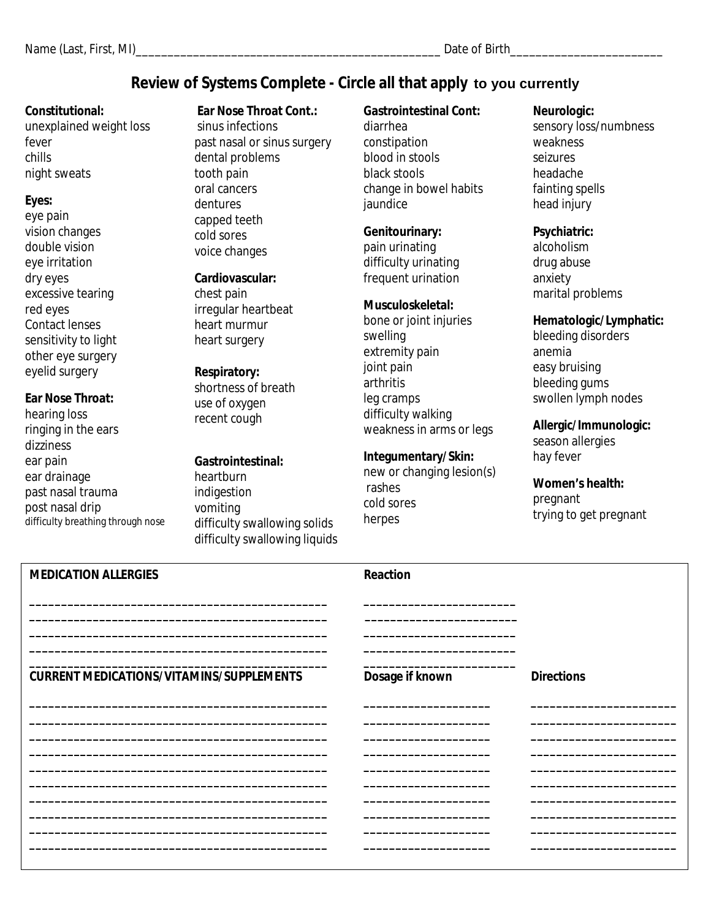# **Review of Systems Complete - Circle all that apply to you currently**

## **Constitutional:**

unexplained weight loss fever chills night sweats

## **Eyes:**

eye pain vision changes double vision eye irritation dry eyes excessive tearing red eyes Contact lenses sensitivity to light other eye surgery eyelid surgery

## **Ear Nose Throat:**

hearing loss ringing in the ears dizziness ear pain ear drainage past nasal trauma post nasal drip difficulty breathing through nose

## **Ear Nose Throat Cont.:**

sinus infections past nasal or sinus surgery dental problems tooth pain oral cancers dentures capped teeth cold sores voice changes

## **Cardiovascular:**

chest pain irregular heartbeat heart murmur heart surgery

## **Respiratory:**

shortness of breath use of oxygen recent cough

# **Gastrointestinal:**

heartburn indigestion vomiting difficulty swallowing solids difficulty swallowing liquids

## **Gastrointestinal Cont:**  diarrhea constipation blood in stools black stools change in bowel habits jaundice

# **Genitourinary:**

pain urinating difficulty urinating frequent urination

## **Musculoskeletal:**

bone or joint injuries swelling extremity pain joint pain arthritis leg cramps difficulty walking weakness in arms or legs

## **Integumentary/Skin:**

new or changing lesion(s) rashes cold sores herpes

## **Neurologic:**

sensory loss/numbness weakness seizures headache fainting spells head injury

## **Psychiatric:**

alcoholism drug abuse anxiety marital problems

## **Hematologic/Lymphatic:**

bleeding disorders anemia easy bruising bleeding gums swollen lymph nodes

**Allergic/Immunologic:**  season allergies

hay fever

**Women's health:**  pregnant trying to get pregnant

| <b>MEDICATION ALLERGIES</b>                     | <b>Reaction</b> |                   |
|-------------------------------------------------|-----------------|-------------------|
| <b>CURRENT MEDICATIONS/VITAMINS/SUPPLEMENTS</b> | Dosage if known | <b>Directions</b> |
|                                                 |                 |                   |
|                                                 |                 |                   |
|                                                 |                 |                   |